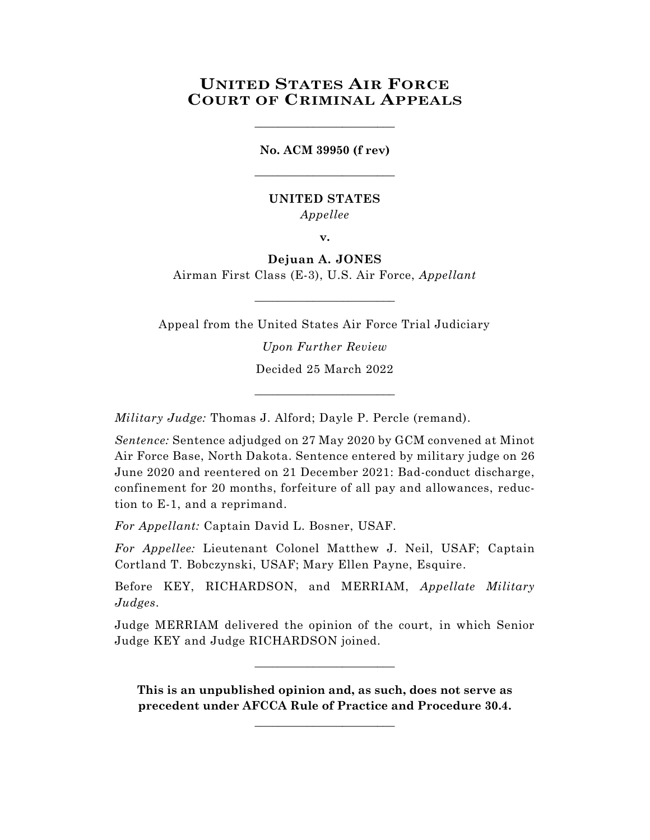# **UNITED STATES AIR FORCE COURT OF CRIMINAL APPEALS**

**No. ACM 39950 (f rev)** \_\_\_\_\_\_\_\_\_\_\_\_\_\_\_\_\_\_\_\_\_\_\_\_

\_\_\_\_\_\_\_\_\_\_\_\_\_\_\_\_\_\_\_\_\_\_\_\_

## **UNITED STATES** *Appellee*

**v.**

**Dejuan A. JONES** Airman First Class (E-3), U.S. Air Force, *Appellant*

 $\_$ 

Appeal from the United States Air Force Trial Judiciary

*Upon Further Review* Decided 25 March 2022

\_\_\_\_\_\_\_\_\_\_\_\_\_\_\_\_\_\_\_\_\_\_\_\_

*Military Judge:* Thomas J. Alford; Dayle P. Percle (remand).

*Sentence:* Sentence adjudged on 27 May 2020 by GCM convened at Minot Air Force Base, North Dakota. Sentence entered by military judge on 26 June 2020 and reentered on 21 December 2021: Bad-conduct discharge, confinement for 20 months, forfeiture of all pay and allowances, reduction to E-1, and a reprimand.

*For Appellant:* Captain David L. Bosner, USAF.

*For Appellee:* Lieutenant Colonel Matthew J. Neil, USAF; Captain Cortland T. Bobczynski, USAF; Mary Ellen Payne, Esquire.

Before KEY, RICHARDSON, and MERRIAM, *Appellate Military Judges*.

Judge MERRIAM delivered the opinion of the court, in which Senior Judge KEY and Judge RICHARDSON joined.

\_\_\_\_\_\_\_\_\_\_\_\_\_\_\_\_\_\_\_\_\_\_\_\_

**This is an unpublished opinion and, as such, does not serve as precedent under AFCCA Rule of Practice and Procedure 30.4.**

**\_\_\_\_\_\_\_\_\_\_\_\_\_\_\_\_\_\_\_\_\_\_\_\_**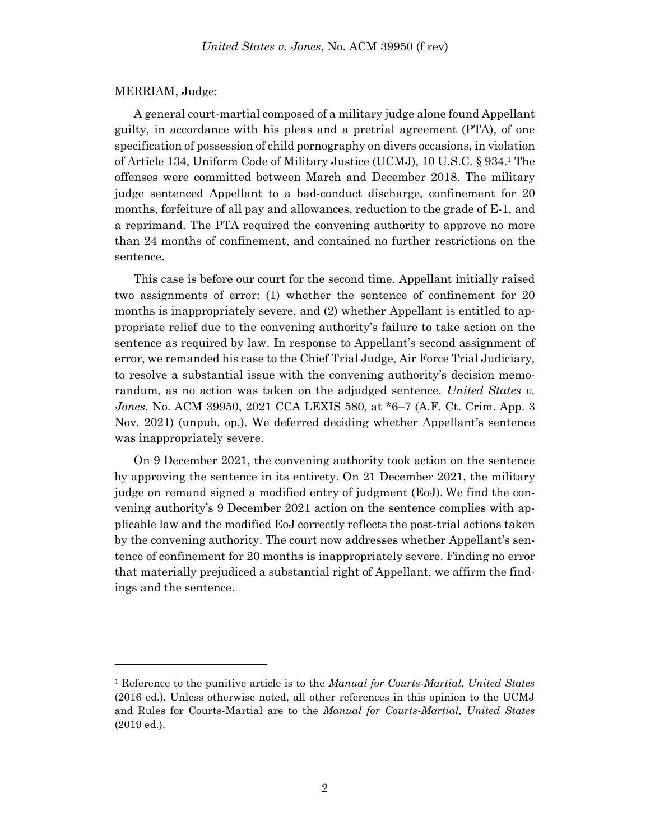### MERRIAM, Judge:

l

A general court-martial composed of a military judge alone found Appellant guilty, in accordance with his pleas and a pretrial agreement (PTA), of one specification of possession of child pornography on divers occasions, in violation of Article 134, Uniform Code of Military Justice (UCMJ), 10 U.S.C. § 934. <sup>1</sup> The offenses were committed between March and December 2018. The military judge sentenced Appellant to a bad-conduct discharge, confinement for 20 months, forfeiture of all pay and allowances, reduction to the grade of E-1, and a reprimand. The PTA required the convening authority to approve no more than 24 months of confinement, and contained no further restrictions on the sentence.

This case is before our court for the second time. Appellant initially raised two assignments of error: (1) whether the sentence of confinement for 20 months is inappropriately severe, and (2) whether Appellant is entitled to appropriate relief due to the convening authority's failure to take action on the sentence as required by law. In response to Appellant's second assignment of error, we remanded his case to the Chief Trial Judge, Air Force Trial Judiciary, to resolve a substantial issue with the convening authority's decision memorandum, as no action was taken on the adjudged sentence. *United States v. Jones*, No. ACM 39950, 2021 CCA LEXIS 580, at \*6–7 (A.F. Ct. Crim. App. 3 Nov. 2021) (unpub. op.). We deferred deciding whether Appellant's sentence was inappropriately severe.

On 9 December 2021, the convening authority took action on the sentence by approving the sentence in its entirety. On 21 December 2021, the military judge on remand signed a modified entry of judgment (EoJ). We find the convening authority's 9 December 2021 action on the sentence complies with applicable law and the modified EoJ correctly reflects the post-trial actions taken by the convening authority. The court now addresses whether Appellant's sentence of confinement for 20 months is inappropriately severe. Finding no error that materially prejudiced a substantial right of Appellant, we affirm the findings and the sentence.

<sup>1</sup> Reference to the punitive article is to the *Manual for Courts-Martial*, *United States* (2016 ed.). Unless otherwise noted, all other references in this opinion to the UCMJ and Rules for Courts-Martial are to the *Manual for Courts-Martial, United States* (2019 ed.).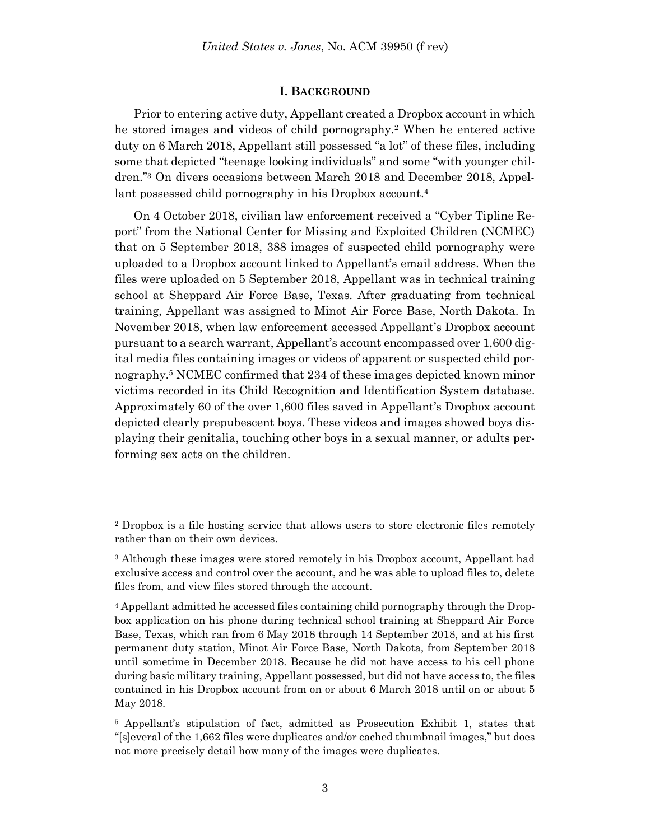### **I. BACKGROUND**

Prior to entering active duty, Appellant created a Dropbox account in which he stored images and videos of child pornography.<sup>2</sup> When he entered active duty on 6 March 2018, Appellant still possessed "a lot" of these files, including some that depicted "teenage looking individuals" and some "with younger children." <sup>3</sup> On divers occasions between March 2018 and December 2018, Appellant possessed child pornography in his Dropbox account.<sup>4</sup>

On 4 October 2018, civilian law enforcement received a "Cyber Tipline Report" from the National Center for Missing and Exploited Children (NCMEC) that on 5 September 2018, 388 images of suspected child pornography were uploaded to a Dropbox account linked to Appellant's email address. When the files were uploaded on 5 September 2018, Appellant was in technical training school at Sheppard Air Force Base, Texas. After graduating from technical training, Appellant was assigned to Minot Air Force Base, North Dakota. In November 2018, when law enforcement accessed Appellant's Dropbox account pursuant to a search warrant, Appellant's account encompassed over 1,600 digital media files containing images or videos of apparent or suspected child pornography.<sup>5</sup> NCMEC confirmed that 234 of these images depicted known minor victims recorded in its Child Recognition and Identification System database. Approximately 60 of the over 1,600 files saved in Appellant's Dropbox account depicted clearly prepubescent boys. These videos and images showed boys displaying their genitalia, touching other boys in a sexual manner, or adults performing sex acts on the children.

<sup>2</sup> Dropbox is a file hosting service that allows users to store electronic files remotely rather than on their own devices.

<sup>3</sup> Although these images were stored remotely in his Dropbox account, Appellant had exclusive access and control over the account, and he was able to upload files to, delete files from, and view files stored through the account.

<sup>4</sup> Appellant admitted he accessed files containing child pornography through the Dropbox application on his phone during technical school training at Sheppard Air Force Base, Texas, which ran from 6 May 2018 through 14 September 2018, and at his first permanent duty station, Minot Air Force Base, North Dakota, from September 2018 until sometime in December 2018. Because he did not have access to his cell phone during basic military training, Appellant possessed, but did not have access to, the files contained in his Dropbox account from on or about 6 March 2018 until on or about 5 May 2018.

<sup>5</sup> Appellant's stipulation of fact, admitted as Prosecution Exhibit 1, states that "[s]everal of the 1,662 files were duplicates and/or cached thumbnail images," but does not more precisely detail how many of the images were duplicates.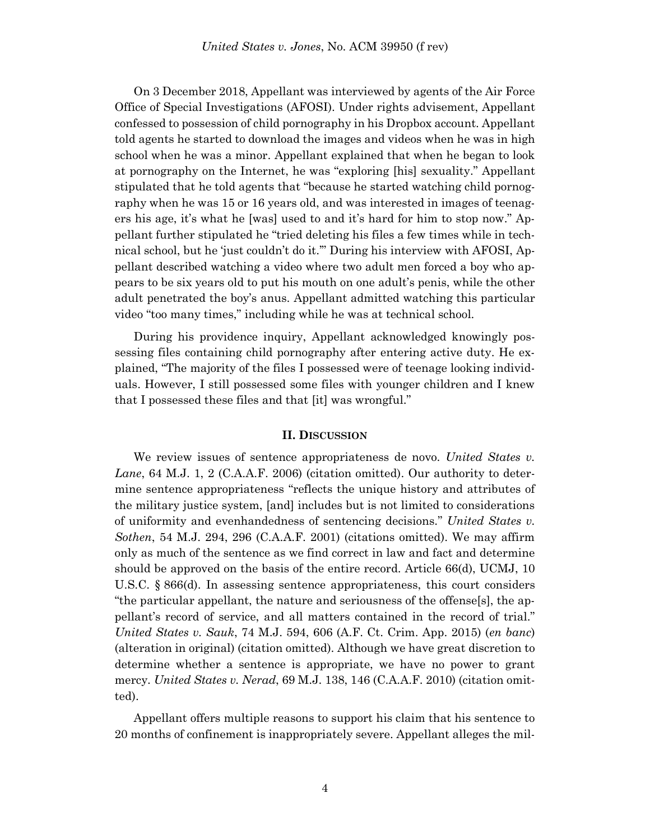On 3 December 2018, Appellant was interviewed by agents of the Air Force Office of Special Investigations (AFOSI). Under rights advisement, Appellant confessed to possession of child pornography in his Dropbox account. Appellant told agents he started to download the images and videos when he was in high school when he was a minor. Appellant explained that when he began to look at pornography on the Internet, he was "exploring [his] sexuality." Appellant stipulated that he told agents that "because he started watching child pornography when he was 15 or 16 years old, and was interested in images of teenagers his age, it's what he [was] used to and it's hard for him to stop now." Appellant further stipulated he "tried deleting his files a few times while in technical school, but he 'just couldn't do it.'" During his interview with AFOSI, Appellant described watching a video where two adult men forced a boy who appears to be six years old to put his mouth on one adult's penis, while the other adult penetrated the boy's anus. Appellant admitted watching this particular video "too many times," including while he was at technical school.

During his providence inquiry, Appellant acknowledged knowingly possessing files containing child pornography after entering active duty. He explained, "The majority of the files I possessed were of teenage looking individuals. However, I still possessed some files with younger children and I knew that I possessed these files and that [it] was wrongful."

### **II. DISCUSSION**

We review issues of sentence appropriateness de novo. *United States v. Lane*, 64 M.J. 1, 2 (C.A.A.F. 2006) (citation omitted). Our authority to determine sentence appropriateness "reflects the unique history and attributes of the military justice system, [and] includes but is not limited to considerations of uniformity and evenhandedness of sentencing decisions." *United States v. Sothen*, 54 M.J. 294, 296 (C.A.A.F. 2001) (citations omitted). We may affirm only as much of the sentence as we find correct in law and fact and determine should be approved on the basis of the entire record. Article 66(d), UCMJ, 10 U.S.C. § 866(d). In assessing sentence appropriateness, this court considers "the particular appellant, the nature and seriousness of the offense[s], the appellant's record of service, and all matters contained in the record of trial." *United States v. Sauk*, 74 M.J. 594, 606 (A.F. Ct. Crim. App. 2015) (*en banc*) (alteration in original) (citation omitted). Although we have great discretion to determine whether a sentence is appropriate, we have no power to grant mercy. *United States v. Nerad*, 69 M.J. 138, 146 (C.A.A.F. 2010) (citation omitted).

Appellant offers multiple reasons to support his claim that his sentence to 20 months of confinement is inappropriately severe. Appellant alleges the mil-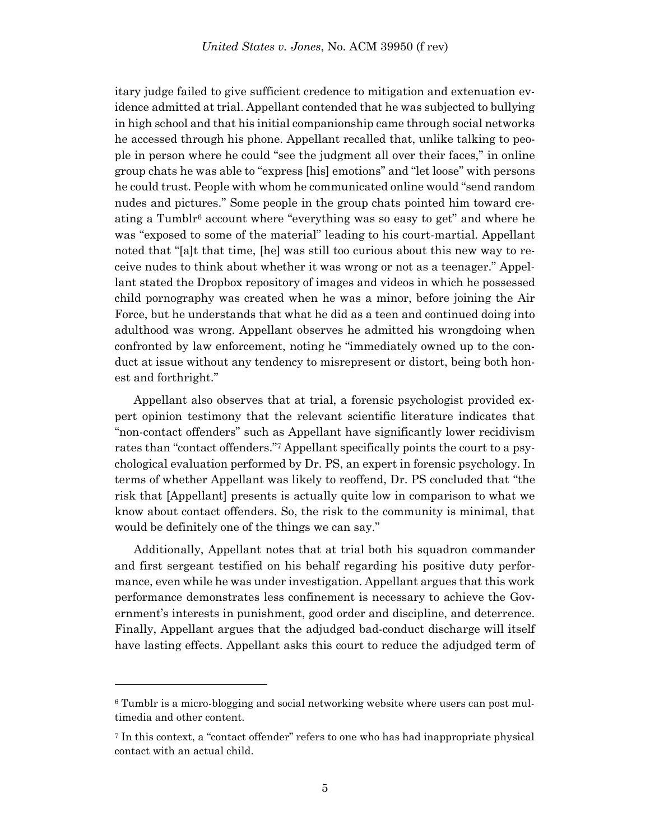itary judge failed to give sufficient credence to mitigation and extenuation evidence admitted at trial. Appellant contended that he was subjected to bullying in high school and that his initial companionship came through social networks he accessed through his phone. Appellant recalled that, unlike talking to people in person where he could "see the judgment all over their faces," in online group chats he was able to "express [his] emotions" and "let loose" with persons he could trust. People with whom he communicated online would "send random nudes and pictures." Some people in the group chats pointed him toward creating a Tumblr<sup>6</sup> account where "everything was so easy to get" and where he was "exposed to some of the material" leading to his court-martial. Appellant noted that "[a]t that time, [he] was still too curious about this new way to receive nudes to think about whether it was wrong or not as a teenager." Appellant stated the Dropbox repository of images and videos in which he possessed child pornography was created when he was a minor, before joining the Air Force, but he understands that what he did as a teen and continued doing into adulthood was wrong. Appellant observes he admitted his wrongdoing when confronted by law enforcement, noting he "immediately owned up to the conduct at issue without any tendency to misrepresent or distort, being both honest and forthright."

Appellant also observes that at trial, a forensic psychologist provided expert opinion testimony that the relevant scientific literature indicates that "non-contact offenders" such as Appellant have significantly lower recidivism rates than "contact offenders." <sup>7</sup> Appellant specifically points the court to a psychological evaluation performed by Dr. PS, an expert in forensic psychology. In terms of whether Appellant was likely to reoffend, Dr. PS concluded that "the risk that [Appellant] presents is actually quite low in comparison to what we know about contact offenders. So, the risk to the community is minimal, that would be definitely one of the things we can say."

Additionally, Appellant notes that at trial both his squadron commander and first sergeant testified on his behalf regarding his positive duty performance, even while he was under investigation. Appellant argues that this work performance demonstrates less confinement is necessary to achieve the Government's interests in punishment, good order and discipline, and deterrence. Finally, Appellant argues that the adjudged bad-conduct discharge will itself have lasting effects. Appellant asks this court to reduce the adjudged term of

l

<sup>6</sup> Tumblr is a micro-blogging and social networking website where users can post multimedia and other content.

<sup>7</sup> In this context, a "contact offender" refers to one who has had inappropriate physical contact with an actual child.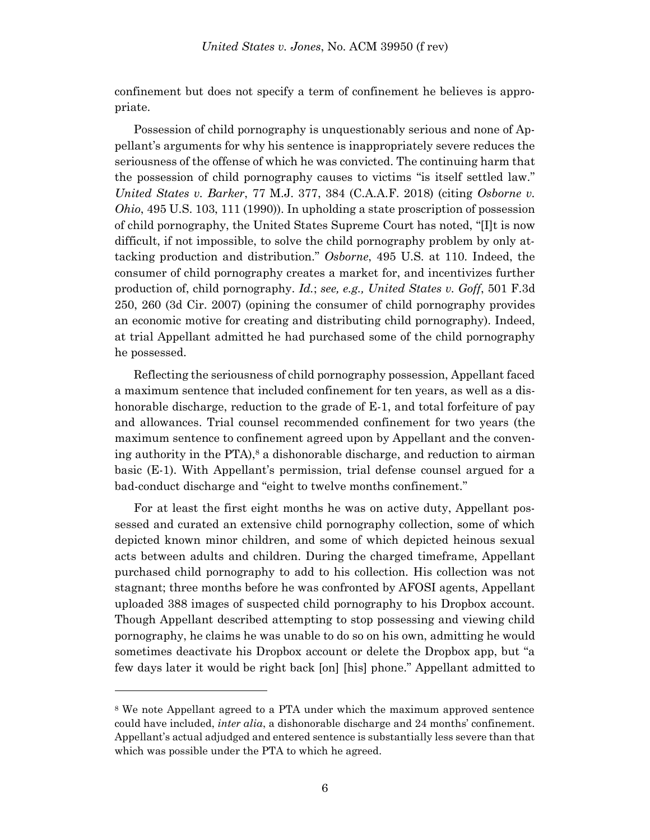confinement but does not specify a term of confinement he believes is appropriate.

Possession of child pornography is unquestionably serious and none of Appellant's arguments for why his sentence is inappropriately severe reduces the seriousness of the offense of which he was convicted. The continuing harm that the possession of child pornography causes to victims "is itself settled law." *United States v. Barker*, 77 M.J. 377, 384 (C.A.A.F. 2018) (citing *Osborne v. Ohio*, 495 U.S. 103, 111 (1990)). In upholding a state proscription of possession of child pornography, the United States Supreme Court has noted, "[I]t is now difficult, if not impossible, to solve the child pornography problem by only attacking production and distribution." *Osborne*, 495 U.S. at 110. Indeed, the consumer of child pornography creates a market for, and incentivizes further production of, child pornography. *Id.*; *see, e.g., United States v. Goff*, 501 F.3d 250, 260 (3d Cir. 2007) (opining the consumer of child pornography provides an economic motive for creating and distributing child pornography). Indeed, at trial Appellant admitted he had purchased some of the child pornography he possessed.

Reflecting the seriousness of child pornography possession, Appellant faced a maximum sentence that included confinement for ten years, as well as a dishonorable discharge, reduction to the grade of E-1, and total forfeiture of pay and allowances. Trial counsel recommended confinement for two years (the maximum sentence to confinement agreed upon by Appellant and the convening authority in the PTA), <sup>8</sup> a dishonorable discharge, and reduction to airman basic (E-1). With Appellant's permission, trial defense counsel argued for a bad-conduct discharge and "eight to twelve months confinement."

For at least the first eight months he was on active duty, Appellant possessed and curated an extensive child pornography collection, some of which depicted known minor children, and some of which depicted heinous sexual acts between adults and children. During the charged timeframe, Appellant purchased child pornography to add to his collection. His collection was not stagnant; three months before he was confronted by AFOSI agents, Appellant uploaded 388 images of suspected child pornography to his Dropbox account. Though Appellant described attempting to stop possessing and viewing child pornography, he claims he was unable to do so on his own, admitting he would sometimes deactivate his Dropbox account or delete the Dropbox app, but "a few days later it would be right back [on] [his] phone." Appellant admitted to

l

<sup>8</sup> We note Appellant agreed to a PTA under which the maximum approved sentence could have included, *inter alia*, a dishonorable discharge and 24 months' confinement. Appellant's actual adjudged and entered sentence is substantially less severe than that which was possible under the PTA to which he agreed.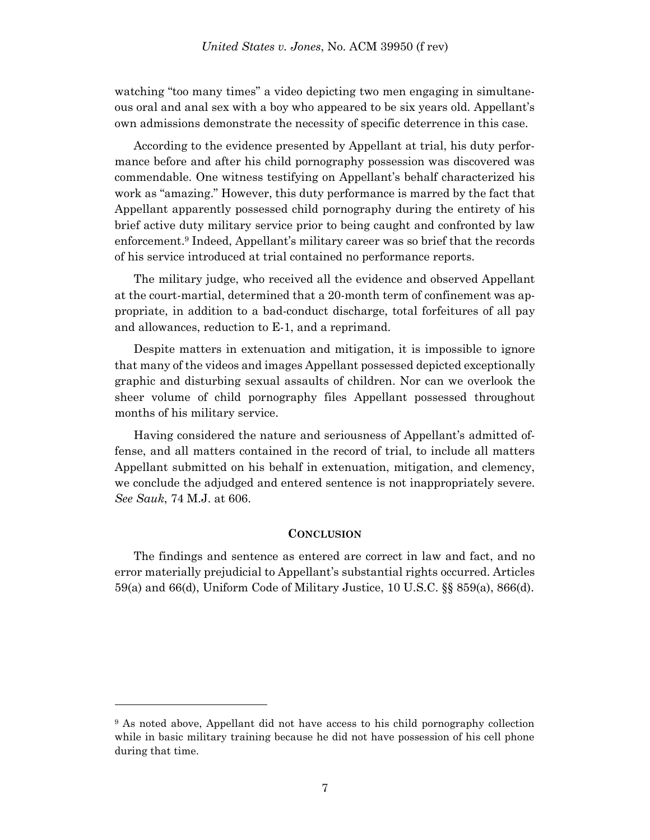watching "too many times" a video depicting two men engaging in simultaneous oral and anal sex with a boy who appeared to be six years old. Appellant's own admissions demonstrate the necessity of specific deterrence in this case.

According to the evidence presented by Appellant at trial, his duty performance before and after his child pornography possession was discovered was commendable. One witness testifying on Appellant's behalf characterized his work as "amazing." However, this duty performance is marred by the fact that Appellant apparently possessed child pornography during the entirety of his brief active duty military service prior to being caught and confronted by law enforcement.<sup>9</sup> Indeed, Appellant's military career was so brief that the records of his service introduced at trial contained no performance reports.

The military judge, who received all the evidence and observed Appellant at the court-martial, determined that a 20-month term of confinement was appropriate, in addition to a bad-conduct discharge, total forfeitures of all pay and allowances, reduction to E-1, and a reprimand.

Despite matters in extenuation and mitigation, it is impossible to ignore that many of the videos and images Appellant possessed depicted exceptionally graphic and disturbing sexual assaults of children. Nor can we overlook the sheer volume of child pornography files Appellant possessed throughout months of his military service.

Having considered the nature and seriousness of Appellant's admitted offense, and all matters contained in the record of trial, to include all matters Appellant submitted on his behalf in extenuation, mitigation, and clemency, we conclude the adjudged and entered sentence is not inappropriately severe. *See Sauk*, 74 M.J. at 606.

#### **CONCLUSION**

The findings and sentence as entered are correct in law and fact, and no error materially prejudicial to Appellant's substantial rights occurred. Articles 59(a) and 66(d), Uniform Code of Military Justice, 10 U.S.C. §§ 859(a), 866(d).

l

<sup>9</sup> As noted above, Appellant did not have access to his child pornography collection while in basic military training because he did not have possession of his cell phone during that time.